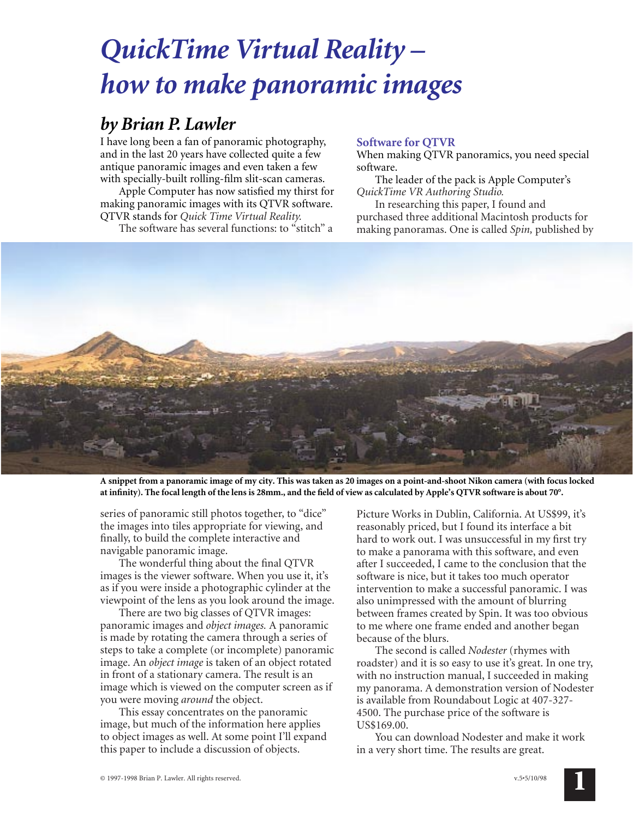# *QuickTime Virtual Reality – how to make panoramic images*

## *by Brian P. Lawler*

I have long been a fan of panoramic photography, and in the last 20 years have collected quite a few antique panoramic images and even taken a few with specially-built rolling-film slit-scan cameras.

Apple Computer has now satisfied my thirst for making panoramic images with its QTVR software. QTVR stands for *Quick Time Virtual Reality.*

The software has several functions: to "stitch" a

### **Software for QTVR**

When making QTVR panoramics, you need special software.

The leader of the pack is Apple Computer's *QuickTime VR Authoring Studio.*

In researching this paper, I found and purchased three additional Macintosh products for making panoramas. One is called *Spin,* published by



**A snippet from a panoramic image of my city. This was taken as 20 images on a point-and-shoot Nikon camera (with focus locked at infinity). The focal length of the lens is 28mm., and the field of view as calculated by Apple's QTVR software is about 70°.**

series of panoramic still photos together, to "dice" the images into tiles appropriate for viewing, and finally, to build the complete interactive and navigable panoramic image.

The wonderful thing about the final QTVR images is the viewer software. When you use it, it's as if you were inside a photographic cylinder at the viewpoint of the lens as you look around the image.

There are two big classes of QTVR images: panoramic images and *object images.* A panoramic is made by rotating the camera through a series of steps to take a complete (or incomplete) panoramic image. An *object image* is taken of an object rotated in front of a stationary camera. The result is an image which is viewed on the computer screen as if you were moving *around* the object.

This essay concentrates on the panoramic image, but much of the information here applies to object images as well. At some point I'll expand this paper to include a discussion of objects.

Picture Works in Dublin, California. At US\$99, it's reasonably priced, but I found its interface a bit hard to work out. I was unsuccessful in my first try to make a panorama with this software, and even after I succeeded, I came to the conclusion that the software is nice, but it takes too much operator intervention to make a successful panoramic. I was also unimpressed with the amount of blurring between frames created by Spin. It was too obvious to me where one frame ended and another began because of the blurs.

The second is called *Nodester* (rhymes with roadster) and it is so easy to use it's great. In one try, with no instruction manual, I succeeded in making my panorama. A demonstration version of Nodester is available from Roundabout Logic at 407-327- 4500. The purchase price of the software is US\$169.00.

You can download Nodester and make it work in a very short time. The results are great.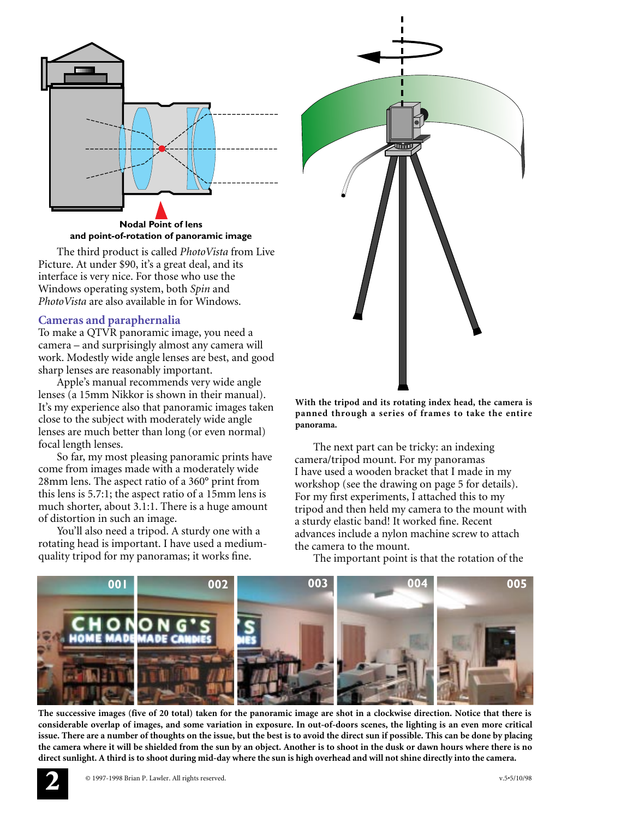

**and point-of-rotation of panoramic image**

The third product is called *PhotoVista* from Live Picture. At under \$90, it's a great deal, and its interface is very nice. For those who use the Windows operating system, both *Spin* and *PhotoVista* are also available in for Windows.

#### **Cameras and paraphernalia**

To make a QTVR panoramic image, you need a camera – and surprisingly almost any camera will work. Modestly wide angle lenses are best, and good sharp lenses are reasonably important.

Apple's manual recommends very wide angle lenses (a 15mm Nikkor is shown in their manual). It's my experience also that panoramic images taken close to the subject with moderately wide angle lenses are much better than long (or even normal) focal length lenses.

So far, my most pleasing panoramic prints have come from images made with a moderately wide 28mm lens. The aspect ratio of a 360° print from this lens is 5.7:1; the aspect ratio of a 15mm lens is much shorter, about 3.1:1. There is a huge amount of distortion in such an image.

You'll also need a tripod. A sturdy one with a rotating head is important. I have used a mediumquality tripod for my panoramas; it works fine.

tripod and then held my camera to the mount with a sturdy elastic band! It worked fine. Recent

advances include a nylon machine screw to attach

the camera to the mount.

**panorama.**

The next part can be tricky: an indexing camera/tripod mount. For my panoramas I have used a wooden bracket that I made in my workshop (see the drawing on page 5 for details). For my first experiments, I attached this to my

<u>Amin I</u>

**With the tripod and its rotating index head, the camera is panned through a series of frames to take the entire**

The important point is that the rotation of the



**The successive images (five of 20 total) taken for the panoramic image are shot in a clockwise direction. Notice that there is considerable overlap of images, and some variation in exposure. In out-of-doors scenes, the lighting is an even more critical issue. There are a number of thoughts on the issue, but the best is to avoid the direct sun if possible. This can be done by placing the camera where it will be shielded from the sun by an object. Another is to shoot in the dusk or dawn hours where there is no direct sunlight. A third is to shoot during mid-day where the sun is high overhead and will not shine directly into the camera.**

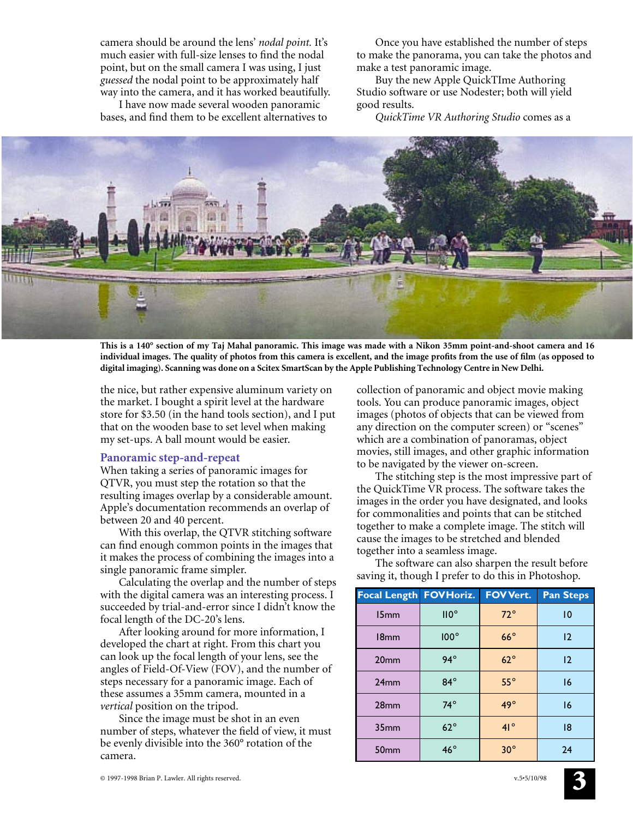camera should be around the lens' *nodal point.* It's much easier with full-size lenses to find the nodal point, but on the small camera I was using, I just *guessed* the nodal point to be approximately half way into the camera, and it has worked beautifully.

I have now made several wooden panoramic bases, and find them to be excellent alternatives to

Once you have established the number of steps to make the panorama, you can take the photos and make a test panoramic image.

Buy the new Apple QuickTIme Authoring Studio software or use Nodester; both will yield good results.

*QuickTime VR Authoring Studio* comes as a



**This is a 140° section of my Taj Mahal panoramic. This image was made with a Nikon 35mm point-and-shoot camera and 16 individual images. The quality of photos from this camera is excellent, and the image profits from the use of film (as opposed to digital imaging). Scanning was done on a Scitex SmartScan by the Apple Publishing Technology Centre in New Delhi.**

the nice, but rather expensive aluminum variety on the market. I bought a spirit level at the hardware store for \$3.50 (in the hand tools section), and I put that on the wooden base to set level when making my set-ups. A ball mount would be easier.

#### **Panoramic step-and-repeat**

When taking a series of panoramic images for QTVR, you must step the rotation so that the resulting images overlap by a considerable amount. Apple's documentation recommends an overlap of between 20 and 40 percent.

With this overlap, the QTVR stitching software can find enough common points in the images that it makes the process of combining the images into a single panoramic frame simpler.

Calculating the overlap and the number of steps with the digital camera was an interesting process. I succeeded by trial-and-error since I didn't know the focal length of the DC-20's lens.

After looking around for more information, I developed the chart at right. From this chart you can look up the focal length of your lens, see the angles of Field-Of-View (FOV), and the number of steps necessary for a panoramic image. Each of these assumes a 35mm camera, mounted in a *vertical* position on the tripod.

Since the image must be shot in an even number of steps, whatever the field of view, it must be evenly divisible into the 360° rotation of the camera.

collection of panoramic and object movie making tools. You can produce panoramic images, object images (photos of objects that can be viewed from any direction on the computer screen) or "scenes" which are a combination of panoramas, object movies, still images, and other graphic information to be navigated by the viewer on-screen.

The stitching step is the most impressive part of the QuickTime VR process. The software takes the images in the order you have designated, and looks for commonalities and points that can be stitched together to make a complete image. The stitch will cause the images to be stretched and blended together into a seamless image.

The software can also sharpen the result before saving it, though I prefer to do this in Photoshop.

| <b>Focal Length FOV Horiz.</b> |              | <b>FOV Vert.</b> | <b>Pan Steps</b> |
|--------------------------------|--------------|------------------|------------------|
| 15mm                           | $II0^\circ$  | $72^{\circ}$     | 10               |
| 18 <sub>mm</sub>               | $100^\circ$  | $66^\circ$       | 12               |
| 20 <sub>mm</sub>               | $94^\circ$   | $62^{\circ}$     | 12               |
| 24mm                           | $84^\circ$   | $55^\circ$       | 16               |
| 28 <sub>mm</sub>               | $74^\circ$   | $49^\circ$       | 16               |
| 35 <sub>mm</sub>               | $62^{\circ}$ | $41^{\circ}$     | 18               |
| 50 <sub>mm</sub>               | $46^\circ$   | $30^\circ$       | 24               |

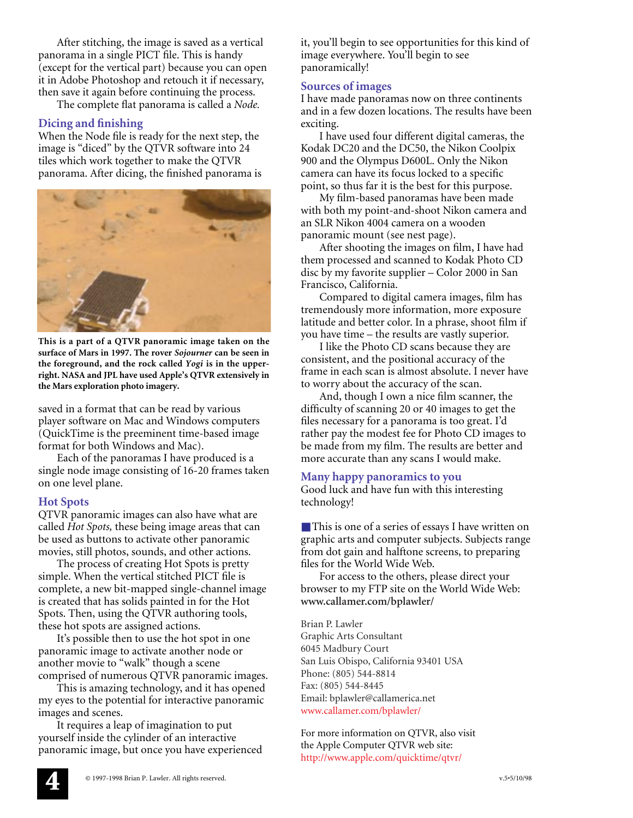After stitching, the image is saved as a vertical panorama in a single PICT file. This is handy (except for the vertical part) because you can open it in Adobe Photoshop and retouch it if necessary, then save it again before continuing the process.

The complete flat panorama is called a *Node.*

#### **Dicing and finishing**

When the Node file is ready for the next step, the image is "diced" by the QTVR software into 24 tiles which work together to make the QTVR panorama. After dicing, the finished panorama is



**This is a part of a QTVR panoramic image taken on the surface of Mars in 1997. The rover** *Sojourner* **can be seen in the foreground, and the rock called** *Yogi* **is in the upperright. NASA and JPL have used Apple's QTVR extensively in the Mars exploration photo imagery.**

saved in a format that can be read by various player software on Mac and Windows computers (QuickTime is the preeminent time-based image format for both Windows and Mac).

Each of the panoramas I have produced is a single node image consisting of 16-20 frames taken on one level plane.

#### **Hot Spots**

QTVR panoramic images can also have what are called *Hot Spots,* these being image areas that can be used as buttons to activate other panoramic movies, still photos, sounds, and other actions.

The process of creating Hot Spots is pretty simple. When the vertical stitched PICT file is complete, a new bit-mapped single-channel image is created that has solids painted in for the Hot Spots. Then, using the QTVR authoring tools, these hot spots are assigned actions.

It's possible then to use the hot spot in one panoramic image to activate another node or another movie to "walk" though a scene comprised of numerous QTVR panoramic images.

This is amazing technology, and it has opened my eyes to the potential for interactive panoramic images and scenes.

It requires a leap of imagination to put yourself inside the cylinder of an interactive panoramic image, but once you have experienced

it, you'll begin to see opportunities for this kind of image everywhere. You'll begin to see panoramically!

#### **Sources of images**

I have made panoramas now on three continents and in a few dozen locations. The results have been exciting.

I have used four different digital cameras, the Kodak DC20 and the DC50, the Nikon Coolpix 900 and the Olympus D600L. Only the Nikon camera can have its focus locked to a specific point, so thus far it is the best for this purpose.

My film-based panoramas have been made with both my point-and-shoot Nikon camera and an SLR Nikon 4004 camera on a wooden panoramic mount (see nest page).

After shooting the images on film, I have had them processed and scanned to Kodak Photo CD disc by my favorite supplier – Color 2000 in San Francisco, California.

Compared to digital camera images, film has tremendously more information, more exposure latitude and better color. In a phrase, shoot film if you have time – the results are vastly superior.

I like the Photo CD scans because they are consistent, and the positional accuracy of the frame in each scan is almost absolute. I never have to worry about the accuracy of the scan.

And, though I own a nice film scanner, the difficulty of scanning 20 or 40 images to get the files necessary for a panorama is too great. I'd rather pay the modest fee for Photo CD images to be made from my film. The results are better and more accurate than any scans I would make.

#### **Many happy panoramics to you**

Good luck and have fun with this interesting technology!

■ This is one of a series of essays I have written on graphic arts and computer subjects. Subjects range from dot gain and halftone screens, to preparing files for the World Wide Web.

For access to the others, please direct your browser to my FTP site on the World Wide Web: **www.callamer.com/bplawler/**

Brian P. Lawler Graphic Arts Consultant 6045 Madbury Court San Luis Obispo, California 93401 USA Phone: (805) 544-8814 Fax: (805) 544-8445 Email: bplawler@callamerica.net www.callamer.com/bplawler/

For more information on QTVR, also visit the Apple Computer QTVR web site: http://www.apple.com/quicktime/qtvr/